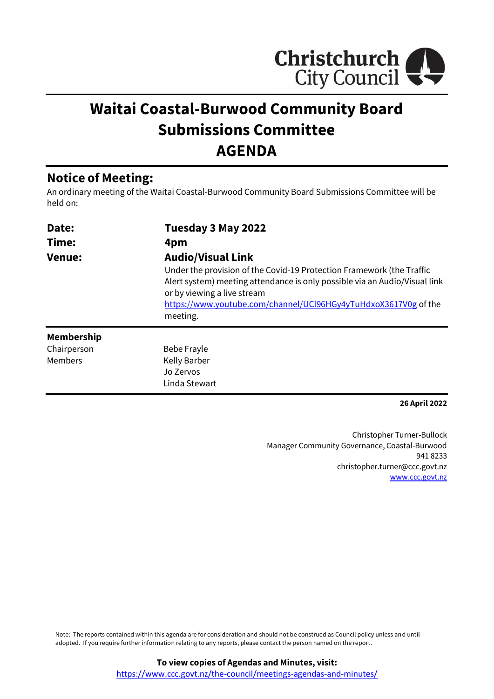

# **Waitai Coastal-Burwood Community Board Submissions Committee AGENDA**

## **Notice of Meeting:**

An ordinary meeting of the Waitai Coastal-Burwood Community Board Submissions Committee will be held on:

| Date:<br>Time:<br><b>Venue:</b> | Tuesday 3 May 2022<br>4pm<br><b>Audio/Visual Link</b><br>Under the provision of the Covid-19 Protection Framework (the Traffic                                                           |  |
|---------------------------------|------------------------------------------------------------------------------------------------------------------------------------------------------------------------------------------|--|
|                                 | Alert system) meeting attendance is only possible via an Audio/Visual link<br>or by viewing a live stream<br>https://www.youtube.com/channel/UCl96HGy4yTuHdxoX3617V0g of the<br>meeting. |  |
| <b>Membership</b>               |                                                                                                                                                                                          |  |
| Chairperson                     | Bebe Frayle                                                                                                                                                                              |  |
| Members                         | <b>Kelly Barber</b>                                                                                                                                                                      |  |
|                                 | Jo Zervos                                                                                                                                                                                |  |
|                                 | Linda Stewart                                                                                                                                                                            |  |

**26 April 2022**

Christopher Turner-Bullock Manager Community Governance, Coastal-Burwood 941 8233 christopher.turner@ccc.govt.nz [www.ccc.govt.nz](http://www.ccc.govt.nz/)

Note: The reports contained within this agenda are for consideration and should not be construed as Council policy unless and until adopted. If you require further information relating to any reports, please contact the person named on the report.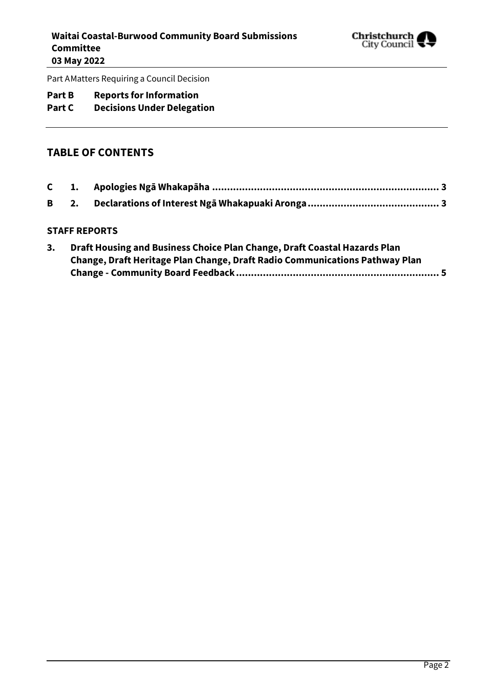

Part AMatters Requiring a Council Decision

## **Part B Reports for Information**

## **Part C Decisions Under Delegation**

#### **TABLE OF CONTENTS**

#### **STAFF REPORTS**

| Draft Housing and Business Choice Plan Change, Draft Coastal Hazards Plan   |
|-----------------------------------------------------------------------------|
| Change, Draft Heritage Plan Change, Draft Radio Communications Pathway Plan |
|                                                                             |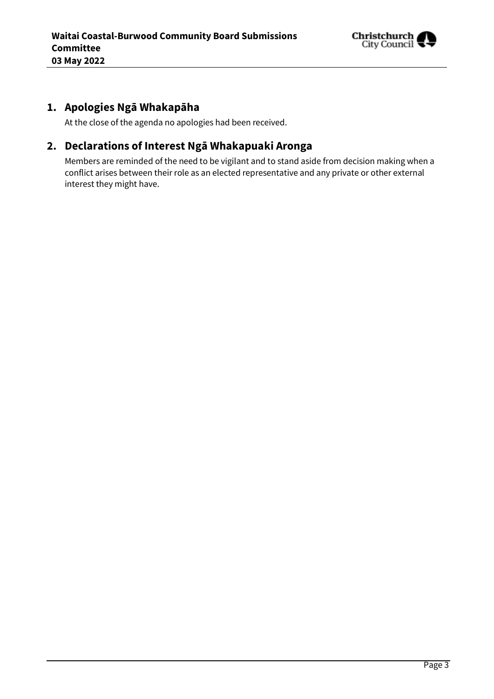

## <span id="page-2-0"></span>**1. Apologies Ngā Whakapāha**

At the close of the agenda no apologies had been received.

## <span id="page-2-1"></span>**2. Declarations of Interest Ngā Whakapuaki Aronga**

Members are reminded of the need to be vigilant and to stand aside from decision making when a conflict arises between their role as an elected representative and any private or other external interest they might have.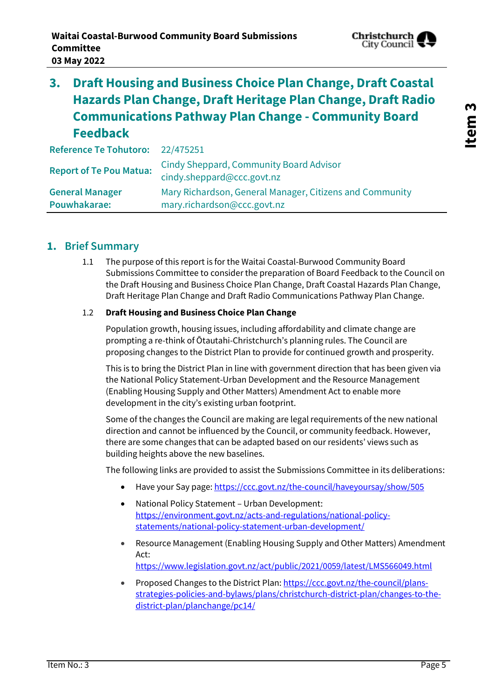

## <span id="page-4-0"></span>**3. Draft Housing and Business Choice Plan Change, Draft Coastal Hazards Plan Change, Draft Heritage Plan Change, Draft Radio Communications Pathway Plan Change - Community Board Feedback**

| Reference Te Tohutoro: 22/475251       |                                                                                         |
|----------------------------------------|-----------------------------------------------------------------------------------------|
| <b>Report of Te Pou Matua:</b>         | Cindy Sheppard, Community Board Advisor<br>cindy.sheppard@ccc.govt.nz                   |
| <b>General Manager</b><br>Pouwhakarae: | Mary Richardson, General Manager, Citizens and Community<br>mary.richardson@ccc.govt.nz |

#### **1. Brief Summary**

1.1 The purpose of this report is for the Waitai Coastal-Burwood Community Board Submissions Committee to consider the preparation of Board Feedback to the Council on the Draft Housing and Business Choice Plan Change, Draft Coastal Hazards Plan Change, Draft Heritage Plan Change and Draft Radio Communications Pathway Plan Change.

#### 1.2 **Draft Housing and Business Choice Plan Change**

Population growth, housing issues, including affordability and climate change are prompting a re-think of Ōtautahi-Christchurch's planning rules. The Council are proposing changes to the District Plan to provide for continued growth and prosperity.

This is to bring the District Plan in line with government direction that has been given via the [National Policy Statement-Urban Development](https://environment.govt.nz/acts-and-regulations/national-policy-statements/national-policy-statement-urban-development/) and the [Resource Management](https://www.legislation.govt.nz/act/public/2021/0059/latest/LMS566049.html)  [\(Enabling Housing Supply and Other Matters\) Amendment Act](https://www.legislation.govt.nz/act/public/2021/0059/latest/LMS566049.html) to enable more development in the city's existing urban footprint.

Some of the changes the Council are making are legal requirements of the new national direction and cannot be influenced by the Council, or community feedback. However, there are some changes that can be adapted based on our residents' views such as building heights above the new baselines.

The following links are provided to assist the Submissions Committee in its deliberations:

- Have your Say page[: https://ccc.govt.nz/the-council/haveyoursay/show/505](https://ccc.govt.nz/the-council/haveyoursay/show/505)
- National Policy Statement Urban Development: [https://environment.govt.nz/acts-and-regulations/national-policy](https://environment.govt.nz/acts-and-regulations/national-policy-statements/national-policy-statement-urban-development/)[statements/national-policy-statement-urban-development/](https://environment.govt.nz/acts-and-regulations/national-policy-statements/national-policy-statement-urban-development/)
- Resource Management (Enabling Housing Supply and Other Matters) Amendment Act: <https://www.legislation.govt.nz/act/public/2021/0059/latest/LMS566049.html>
- Proposed Changes to the District Plan[: https://ccc.govt.nz/the-council/plans](https://ccc.govt.nz/the-council/plans-strategies-policies-and-bylaws/plans/christchurch-district-plan/changes-to-the-district-plan/planchange/pc14/)[strategies-policies-and-bylaws/plans/christchurch-district-plan/changes-to-the](https://ccc.govt.nz/the-council/plans-strategies-policies-and-bylaws/plans/christchurch-district-plan/changes-to-the-district-plan/planchange/pc14/)[district-plan/planchange/pc14/](https://ccc.govt.nz/the-council/plans-strategies-policies-and-bylaws/plans/christchurch-district-plan/changes-to-the-district-plan/planchange/pc14/)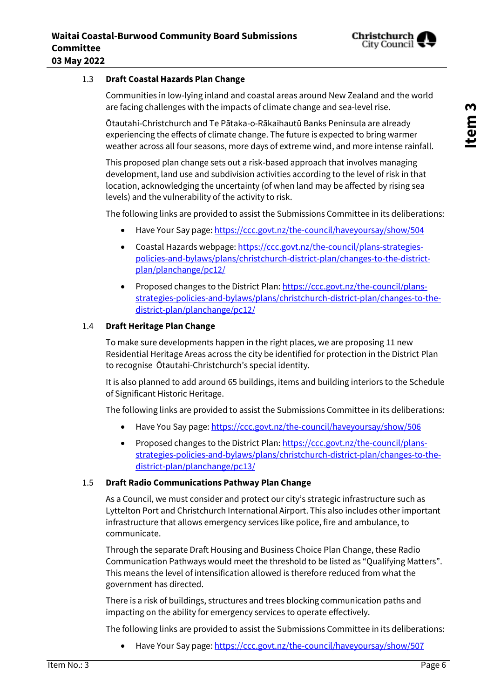

#### 1.3 **Draft Coastal Hazards Plan Change**

Communities in low-lying inland and coastal areas around New Zealand and the world are facing challenges with the impacts of climate change and sea-level rise.

Ōtautahi-Christchurch and Te Pātaka-o-Rākaihautū Banks Peninsula are already experiencing the effects of climate change. The future is expected to bring warmer weather across all four seasons, more days of extreme wind, and more intense rainfall.

This proposed plan change sets out a risk-based approach that involves managing development, land use and subdivision activities according to the level of risk in that location, acknowledging the uncertainty (of when land may be affected by rising sea levels) and the vulnerability of the activity to risk.

The following links are provided to assist the Submissions Committee in its deliberations:

- Have Your Say page[: https://ccc.govt.nz/the-council/haveyoursay/show/504](https://ccc.govt.nz/the-council/haveyoursay/show/504)
- Coastal Hazards webpage: [https://ccc.govt.nz/the-council/plans-strategies](https://ccc.govt.nz/the-council/plans-strategies-policies-and-bylaws/plans/christchurch-district-plan/changes-to-the-district-plan/planchange/pc12/)[policies-and-bylaws/plans/christchurch-district-plan/changes-to-the-district](https://ccc.govt.nz/the-council/plans-strategies-policies-and-bylaws/plans/christchurch-district-plan/changes-to-the-district-plan/planchange/pc12/)[plan/planchange/pc12/](https://ccc.govt.nz/the-council/plans-strategies-policies-and-bylaws/plans/christchurch-district-plan/changes-to-the-district-plan/planchange/pc12/)
- Proposed changes to the District Plan[: https://ccc.govt.nz/the-council/plans](https://ccc.govt.nz/the-council/plans-strategies-policies-and-bylaws/plans/christchurch-district-plan/changes-to-the-district-plan/planchange/pc12/)[strategies-policies-and-bylaws/plans/christchurch-district-plan/changes-to-the](https://ccc.govt.nz/the-council/plans-strategies-policies-and-bylaws/plans/christchurch-district-plan/changes-to-the-district-plan/planchange/pc12/)[district-plan/planchange/pc12/](https://ccc.govt.nz/the-council/plans-strategies-policies-and-bylaws/plans/christchurch-district-plan/changes-to-the-district-plan/planchange/pc12/)

#### 1.4 **Draft Heritage Plan Change**

To make sure developments happen in the right places, we are proposing 11 new Residential Heritage Areas across the city be identified for protection in the District Plan to recognise Ōtautahi-Christchurch's special identity.

It is also planned to add around 65 buildings, items and building interiors to the Schedule of Significant Historic Heritage.

The following links are provided to assist the Submissions Committee in its deliberations:

- Have You Say page:<https://ccc.govt.nz/the-council/haveyoursay/show/506>
- Proposed changes to the District Plan[: https://ccc.govt.nz/the-council/plans](https://ccc.govt.nz/the-council/plans-strategies-policies-and-bylaws/plans/christchurch-district-plan/changes-to-the-district-plan/planchange/pc13/)[strategies-policies-and-bylaws/plans/christchurch-district-plan/changes-to-the](https://ccc.govt.nz/the-council/plans-strategies-policies-and-bylaws/plans/christchurch-district-plan/changes-to-the-district-plan/planchange/pc13/)[district-plan/planchange/pc13/](https://ccc.govt.nz/the-council/plans-strategies-policies-and-bylaws/plans/christchurch-district-plan/changes-to-the-district-plan/planchange/pc13/)

#### 1.5 **Draft Radio Communications Pathway Plan Change**

As a Council, we must consider and protect our city's strategic infrastructure such as Lyttelton Port and Christchurch International Airport. This also includes other important infrastructure that allows emergency services like police, fire and ambulance, to communicate.

Through the separate Draft Housing and Business Choice Plan Change, these Radio Communication Pathways would meet the threshold to be listed as "Qualifying Matters". This means the level of intensification allowed is therefore reduced from what the government has directed.

There is a risk of buildings, structures and trees blocking communication paths and impacting on the ability for emergency services to operate effectively.

The following links are provided to assist the Submissions Committee in its deliberations:

Have Your Say page[: https://ccc.govt.nz/the-council/haveyoursay/show/507](https://ccc.govt.nz/the-council/haveyoursay/show/507)